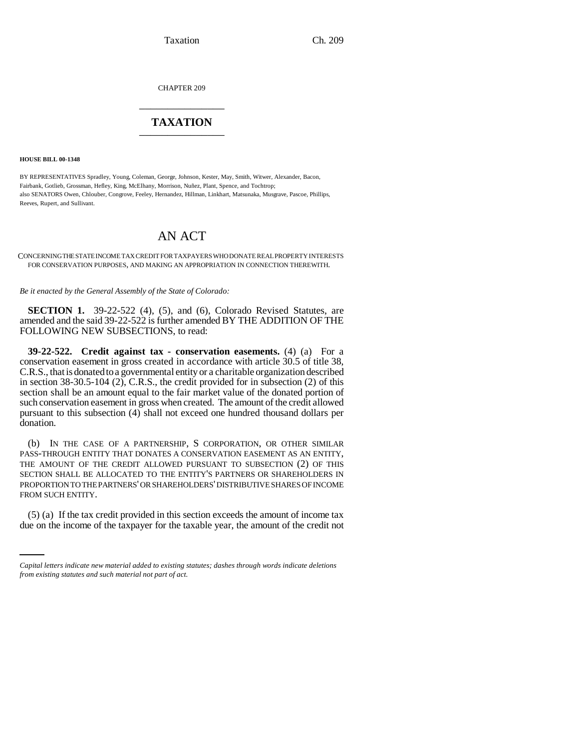Taxation Ch. 209

CHAPTER 209 \_\_\_\_\_\_\_\_\_\_\_\_\_\_\_

## **TAXATION** \_\_\_\_\_\_\_\_\_\_\_\_\_\_\_

**HOUSE BILL 00-1348** 

BY REPRESENTATIVES Spradley, Young, Coleman, George, Johnson, Kester, May, Smith, Witwer, Alexander, Bacon, Fairbank, Gotlieb, Grossman, Hefley, King, McElhany, Morrison, Nuñez, Plant, Spence, and Tochtrop; also SENATORS Owen, Chlouber, Congrove, Feeley, Hernandez, Hillman, Linkhart, Matsunaka, Musgrave, Pascoe, Phillips, Reeves, Rupert, and Sullivant.

## AN ACT

CONCERNING THE STATE INCOME TAX CREDIT FOR TAXPAYERS WHO DONATE REAL PROPERTY INTERESTS FOR CONSERVATION PURPOSES, AND MAKING AN APPROPRIATION IN CONNECTION THEREWITH.

*Be it enacted by the General Assembly of the State of Colorado:*

**SECTION 1.** 39-22-522 (4), (5), and (6), Colorado Revised Statutes, are amended and the said 39-22-522 is further amended BY THE ADDITION OF THE FOLLOWING NEW SUBSECTIONS, to read:

**39-22-522. Credit against tax - conservation easements.** (4) (a) For a conservation easement in gross created in accordance with article 30.5 of title 38, C.R.S., that is donated to a governmental entity or a charitable organization described in section 38-30.5-104 (2), C.R.S., the credit provided for in subsection (2) of this section shall be an amount equal to the fair market value of the donated portion of such conservation easement in gross when created. The amount of the credit allowed pursuant to this subsection (4) shall not exceed one hundred thousand dollars per donation.

(b) IN THE CASE OF A PARTNERSHIP, S CORPORATION, OR OTHER SIMILAR PASS-THROUGH ENTITY THAT DONATES A CONSERVATION EASEMENT AS AN ENTITY, THE AMOUNT OF THE CREDIT ALLOWED PURSUANT TO SUBSECTION (2) OF THIS SECTION SHALL BE ALLOCATED TO THE ENTITY'S PARTNERS OR SHAREHOLDERS IN PROPORTION TO THE PARTNERS' OR SHAREHOLDERS' DISTRIBUTIVE SHARES OF INCOME FROM SUCH ENTITY.

an<br>Salah (5) (a) If the tax credit provided in this section exceeds the amount of income tax due on the income of the taxpayer for the taxable year, the amount of the credit not

*Capital letters indicate new material added to existing statutes; dashes through words indicate deletions from existing statutes and such material not part of act.*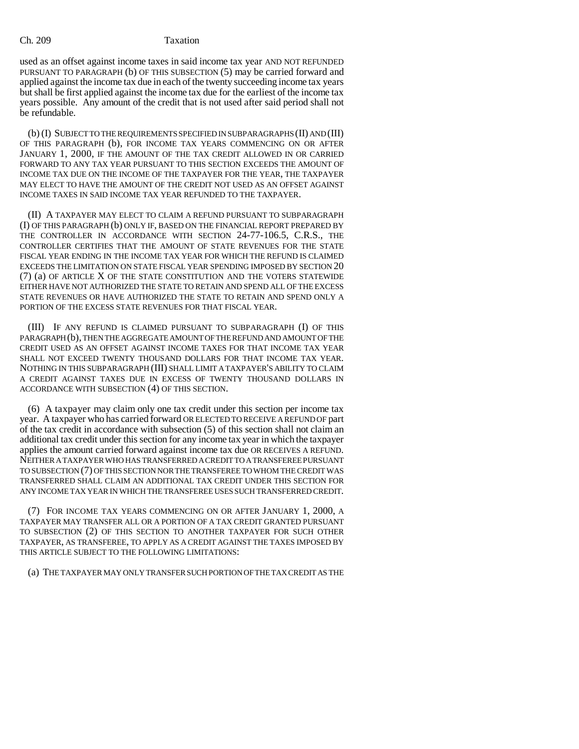## Ch. 209 Taxation

used as an offset against income taxes in said income tax year AND NOT REFUNDED PURSUANT TO PARAGRAPH (b) OF THIS SUBSECTION (5) may be carried forward and applied against the income tax due in each of the twenty succeeding income tax years but shall be first applied against the income tax due for the earliest of the income tax years possible. Any amount of the credit that is not used after said period shall not be refundable.

(b) (I) SUBJECT TO THE REQUIREMENTS SPECIFIED IN SUBPARAGRAPHS (II) AND (III) OF THIS PARAGRAPH (b), FOR INCOME TAX YEARS COMMENCING ON OR AFTER JANUARY 1, 2000, IF THE AMOUNT OF THE TAX CREDIT ALLOWED IN OR CARRIED FORWARD TO ANY TAX YEAR PURSUANT TO THIS SECTION EXCEEDS THE AMOUNT OF INCOME TAX DUE ON THE INCOME OF THE TAXPAYER FOR THE YEAR, THE TAXPAYER MAY ELECT TO HAVE THE AMOUNT OF THE CREDIT NOT USED AS AN OFFSET AGAINST INCOME TAXES IN SAID INCOME TAX YEAR REFUNDED TO THE TAXPAYER.

(II) A TAXPAYER MAY ELECT TO CLAIM A REFUND PURSUANT TO SUBPARAGRAPH (I) OF THIS PARAGRAPH (b) ONLY IF, BASED ON THE FINANCIAL REPORT PREPARED BY THE CONTROLLER IN ACCORDANCE WITH SECTION 24-77-106.5, C.R.S., THE CONTROLLER CERTIFIES THAT THE AMOUNT OF STATE REVENUES FOR THE STATE FISCAL YEAR ENDING IN THE INCOME TAX YEAR FOR WHICH THE REFUND IS CLAIMED EXCEEDS THE LIMITATION ON STATE FISCAL YEAR SPENDING IMPOSED BY SECTION 20 (7) (a) OF ARTICLE X OF THE STATE CONSTITUTION AND THE VOTERS STATEWIDE EITHER HAVE NOT AUTHORIZED THE STATE TO RETAIN AND SPEND ALL OF THE EXCESS STATE REVENUES OR HAVE AUTHORIZED THE STATE TO RETAIN AND SPEND ONLY A PORTION OF THE EXCESS STATE REVENUES FOR THAT FISCAL YEAR.

(III) IF ANY REFUND IS CLAIMED PURSUANT TO SUBPARAGRAPH (I) OF THIS PARAGRAPH (b), THEN THE AGGREGATE AMOUNT OF THE REFUND AND AMOUNT OF THE CREDIT USED AS AN OFFSET AGAINST INCOME TAXES FOR THAT INCOME TAX YEAR SHALL NOT EXCEED TWENTY THOUSAND DOLLARS FOR THAT INCOME TAX YEAR. NOTHING IN THIS SUBPARAGRAPH (III) SHALL LIMIT A TAXPAYER'S ABILITY TO CLAIM A CREDIT AGAINST TAXES DUE IN EXCESS OF TWENTY THOUSAND DOLLARS IN ACCORDANCE WITH SUBSECTION (4) OF THIS SECTION.

(6) A taxpayer may claim only one tax credit under this section per income tax year. A taxpayer who has carried forward OR ELECTED TO RECEIVE A REFUND OF part of the tax credit in accordance with subsection (5) of this section shall not claim an additional tax credit under this section for any income tax year in which the taxpayer applies the amount carried forward against income tax due OR RECEIVES A REFUND. NEITHER A TAXPAYER WHO HAS TRANSFERRED A CREDIT TO A TRANSFEREE PURSUANT TO SUBSECTION (7) OF THIS SECTION NOR THE TRANSFEREE TO WHOM THE CREDIT WAS TRANSFERRED SHALL CLAIM AN ADDITIONAL TAX CREDIT UNDER THIS SECTION FOR ANY INCOME TAX YEAR IN WHICH THE TRANSFEREE USES SUCH TRANSFERRED CREDIT.

(7) FOR INCOME TAX YEARS COMMENCING ON OR AFTER JANUARY 1, 2000, A TAXPAYER MAY TRANSFER ALL OR A PORTION OF A TAX CREDIT GRANTED PURSUANT TO SUBSECTION (2) OF THIS SECTION TO ANOTHER TAXPAYER FOR SUCH OTHER TAXPAYER, AS TRANSFEREE, TO APPLY AS A CREDIT AGAINST THE TAXES IMPOSED BY THIS ARTICLE SUBJECT TO THE FOLLOWING LIMITATIONS:

(a) THE TAXPAYER MAY ONLY TRANSFER SUCH PORTION OF THE TAX CREDIT AS THE